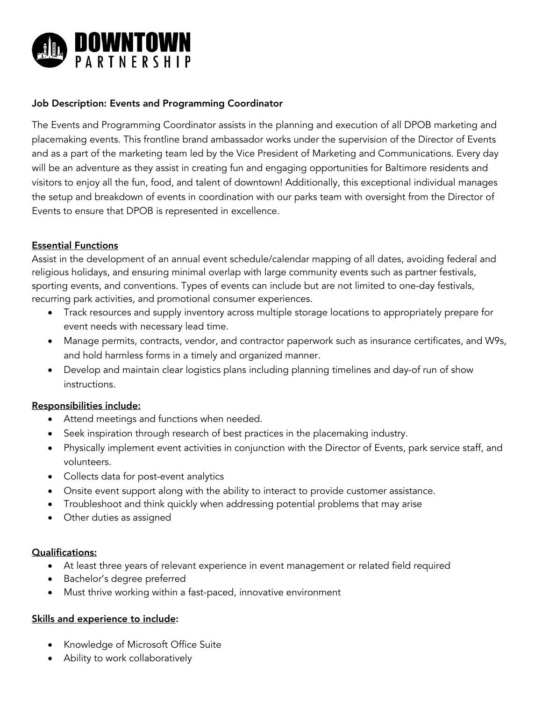

### Job Description: Events and Programming Coordinator

The Events and Programming Coordinator assists in the planning and execution of all DPOB marketing and placemaking events. This frontline brand ambassador works under the supervision of the Director of Events and as a part of the marketing team led by the Vice President of Marketing and Communications. Every day will be an adventure as they assist in creating fun and engaging opportunities for Baltimore residents and visitors to enjoy all the fun, food, and talent of downtown! Additionally, this exceptional individual manages the setup and breakdown of events in coordination with our parks team with oversight from the Director of Events to ensure that DPOB is represented in excellence.

### Essential Functions

Assist in the development of an annual event schedule/calendar mapping of all dates, avoiding federal and religious holidays, and ensuring minimal overlap with large community events such as partner festivals, sporting events, and conventions. Types of events can include but are not limited to one-day festivals, recurring park activities, and promotional consumer experiences.

- Track resources and supply inventory across multiple storage locations to appropriately prepare for event needs with necessary lead time.
- Manage permits, contracts, vendor, and contractor paperwork such as insurance certificates, and W9s, and hold harmless forms in a timely and organized manner.
- Develop and maintain clear logistics plans including planning timelines and day-of run of show instructions.

#### Responsibilities include:

- Attend meetings and functions when needed.
- Seek inspiration through research of best practices in the placemaking industry.
- Physically implement event activities in conjunction with the Director of Events, park service staff, and volunteers.
- Collects data for post-event analytics
- Onsite event support along with the ability to interact to provide customer assistance.
- Troubleshoot and think quickly when addressing potential problems that may arise
- Other duties as assigned

#### Qualifications:

- At least three years of relevant experience in event management or related field required
- Bachelor's degree preferred
- Must thrive working within a fast-paced, innovative environment

## Skills and experience to include:

- Knowledge of Microsoft Office Suite
- Ability to work collaboratively